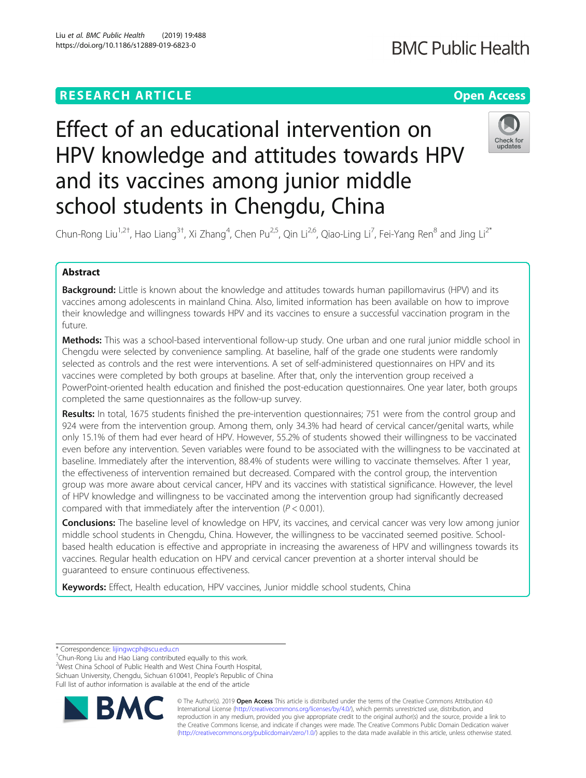# **RESEARCH ARTICLE Example 2014 12:30 The Contract of Contract ACCESS**

# **BMC Public Health**

# Effect of an educational intervention on HPV knowledge and attitudes towards HPV and its vaccines among junior middle school students in Chengdu, China



Chun-Rong Liu<sup>1,2†</sup>, Hao Liang<sup>3†</sup>, Xi Zhang<sup>4</sup>, Chen Pu<sup>2,5</sup>, Qin Li<sup>2,6</sup>, Qiao-Ling Li<sup>7</sup>, Fei-Yang Ren<sup>8</sup> and Jing Li<sup>2\*</sup>

# Abstract

**Background:** Little is known about the knowledge and attitudes towards human papillomavirus (HPV) and its vaccines among adolescents in mainland China. Also, limited information has been available on how to improve their knowledge and willingness towards HPV and its vaccines to ensure a successful vaccination program in the future.

Methods: This was a school-based interventional follow-up study. One urban and one rural junior middle school in Chengdu were selected by convenience sampling. At baseline, half of the grade one students were randomly selected as controls and the rest were interventions. A set of self-administered questionnaires on HPV and its vaccines were completed by both groups at baseline. After that, only the intervention group received a PowerPoint-oriented health education and finished the post-education questionnaires. One year later, both groups completed the same questionnaires as the follow-up survey.

Results: In total, 1675 students finished the pre-intervention questionnaires; 751 were from the control group and 924 were from the intervention group. Among them, only 34.3% had heard of cervical cancer/genital warts, while only 15.1% of them had ever heard of HPV. However, 55.2% of students showed their willingness to be vaccinated even before any intervention. Seven variables were found to be associated with the willingness to be vaccinated at baseline. Immediately after the intervention, 88.4% of students were willing to vaccinate themselves. After 1 year, the effectiveness of intervention remained but decreased. Compared with the control group, the intervention group was more aware about cervical cancer, HPV and its vaccines with statistical significance. However, the level of HPV knowledge and willingness to be vaccinated among the intervention group had significantly decreased compared with that immediately after the intervention ( $P < 0.001$ ).

**Conclusions:** The baseline level of knowledge on HPV, its vaccines, and cervical cancer was very low among junior middle school students in Chengdu, China. However, the willingness to be vaccinated seemed positive. Schoolbased health education is effective and appropriate in increasing the awareness of HPV and willingness towards its vaccines. Regular health education on HPV and cervical cancer prevention at a shorter interval should be guaranteed to ensure continuous effectiveness.

Keywords: Effect, Health education, HPV vaccines, Junior middle school students, China

<sup>+</sup>Chun-Rong Liu and Hao Liang contributed equally to this work. 2 West China School of Public Health and West China Fourth Hospital, Sichuan University, Chengdu, Sichuan 610041, People's Republic of China Full list of author information is available at the end of the article



© The Author(s). 2019 **Open Access** This article is distributed under the terms of the Creative Commons Attribution 4.0 International License [\(http://creativecommons.org/licenses/by/4.0/](http://creativecommons.org/licenses/by/4.0/)), which permits unrestricted use, distribution, and reproduction in any medium, provided you give appropriate credit to the original author(s) and the source, provide a link to the Creative Commons license, and indicate if changes were made. The Creative Commons Public Domain Dedication waiver [\(http://creativecommons.org/publicdomain/zero/1.0/](http://creativecommons.org/publicdomain/zero/1.0/)) applies to the data made available in this article, unless otherwise stated.

<sup>\*</sup> Correspondence: [lijingwcph@scu.edu.cn](mailto:lijingwcph@scu.edu.cn) †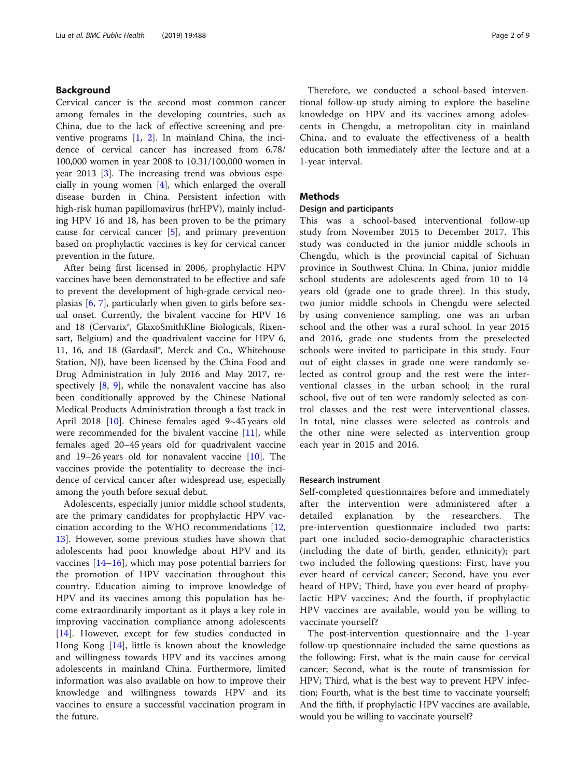#### Background

Cervical cancer is the second most common cancer among females in the developing countries, such as China, due to the lack of effective screening and preventive programs [[1,](#page-7-0) [2\]](#page-7-0). In mainland China, the incidence of cervical cancer has increased from 6.78/ 100,000 women in year 2008 to 10.31/100,000 women in year 2013 [[3](#page-7-0)]. The increasing trend was obvious especially in young women [\[4](#page-7-0)], which enlarged the overall disease burden in China. Persistent infection with high-risk human papillomavirus (hrHPV), mainly including HPV 16 and 18, has been proven to be the primary cause for cervical cancer  $[5]$  $[5]$ , and primary prevention based on prophylactic vaccines is key for cervical cancer prevention in the future.

After being first licensed in 2006, prophylactic HPV vaccines have been demonstrated to be effective and safe to prevent the development of high-grade cervical neoplasias [[6,](#page-7-0) [7](#page-7-0)], particularly when given to girls before sexual onset. Currently, the bivalent vaccine for HPV 16 and 18 (Cervarix®, GlaxoSmithKline Biologicals, Rixensart, Belgium) and the quadrivalent vaccine for HPV 6, 11, 16, and 18 (Gardasil®, Merck and Co., Whitehouse Station, NJ), have been licensed by the China Food and Drug Administration in July 2016 and May 2017, respectively  $[8, 9]$  $[8, 9]$  $[8, 9]$  $[8, 9]$  $[8, 9]$ , while the nonavalent vaccine has also been conditionally approved by the Chinese National Medical Products Administration through a fast track in April 2018 [[10\]](#page-8-0). Chinese females aged 9~45 years old were recommended for the bivalent vaccine [[11](#page-8-0)], while females aged 20–45 years old for quadrivalent vaccine and 19–26 years old for nonavalent vaccine [[10\]](#page-8-0). The vaccines provide the potentiality to decrease the incidence of cervical cancer after widespread use, especially among the youth before sexual debut.

Adolescents, especially junior middle school students, are the primary candidates for prophylactic HPV vaccination according to the WHO recommendations [\[12](#page-8-0), [13\]](#page-8-0). However, some previous studies have shown that adolescents had poor knowledge about HPV and its vaccines  $[14–16]$  $[14–16]$  $[14–16]$  $[14–16]$ , which may pose potential barriers for the promotion of HPV vaccination throughout this country. Education aiming to improve knowledge of HPV and its vaccines among this population has become extraordinarily important as it plays a key role in improving vaccination compliance among adolescents [[14\]](#page-8-0). However, except for few studies conducted in Hong Kong [[14](#page-8-0)], little is known about the knowledge and willingness towards HPV and its vaccines among adolescents in mainland China. Furthermore, limited information was also available on how to improve their knowledge and willingness towards HPV and its vaccines to ensure a successful vaccination program in the future.

Therefore, we conducted a school-based interventional follow-up study aiming to explore the baseline knowledge on HPV and its vaccines among adolescents in Chengdu, a metropolitan city in mainland China, and to evaluate the effectiveness of a health education both immediately after the lecture and at a 1-year interval.

## **Methods**

#### Design and participants

This was a school-based interventional follow-up study from November 2015 to December 2017. This study was conducted in the junior middle schools in Chengdu, which is the provincial capital of Sichuan province in Southwest China. In China, junior middle school students are adolescents aged from 10 to 14 years old (grade one to grade three). In this study, two junior middle schools in Chengdu were selected by using convenience sampling, one was an urban school and the other was a rural school. In year 2015 and 2016, grade one students from the preselected schools were invited to participate in this study. Four out of eight classes in grade one were randomly selected as control group and the rest were the interventional classes in the urban school; in the rural school, five out of ten were randomly selected as control classes and the rest were interventional classes. In total, nine classes were selected as controls and the other nine were selected as intervention group each year in 2015 and 2016.

#### Research instrument

Self-completed questionnaires before and immediately after the intervention were administered after a detailed explanation by the researchers. The pre-intervention questionnaire included two parts: part one included socio-demographic characteristics (including the date of birth, gender, ethnicity); part two included the following questions: First, have you ever heard of cervical cancer; Second, have you ever heard of HPV; Third, have you ever heard of prophylactic HPV vaccines; And the fourth, if prophylactic HPV vaccines are available, would you be willing to vaccinate yourself?

The post-intervention questionnaire and the 1-year follow-up questionnaire included the same questions as the following: First, what is the main cause for cervical cancer; Second, what is the route of transmission for HPV; Third, what is the best way to prevent HPV infection; Fourth, what is the best time to vaccinate yourself; And the fifth, if prophylactic HPV vaccines are available, would you be willing to vaccinate yourself?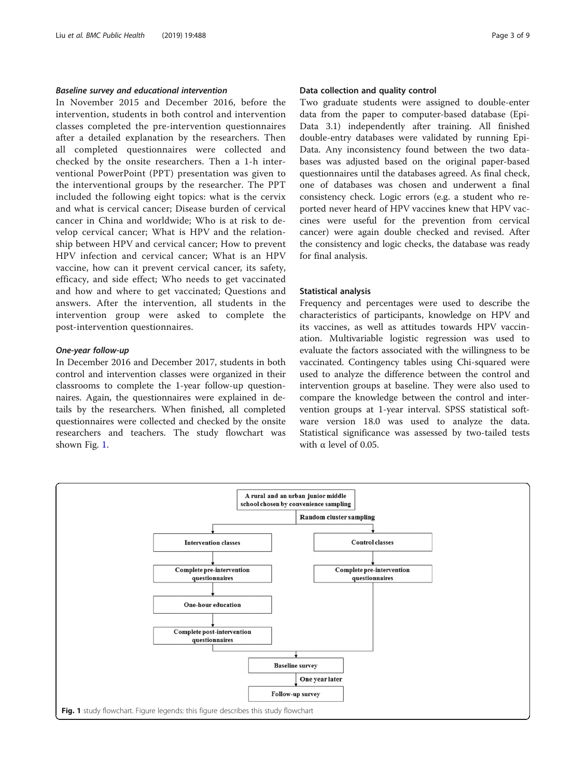#### Baseline survey and educational intervention

In November 2015 and December 2016, before the intervention, students in both control and intervention classes completed the pre-intervention questionnaires after a detailed explanation by the researchers. Then all completed questionnaires were collected and checked by the onsite researchers. Then a 1-h interventional PowerPoint (PPT) presentation was given to the interventional groups by the researcher. The PPT included the following eight topics: what is the cervix and what is cervical cancer; Disease burden of cervical cancer in China and worldwide; Who is at risk to develop cervical cancer; What is HPV and the relationship between HPV and cervical cancer; How to prevent HPV infection and cervical cancer; What is an HPV vaccine, how can it prevent cervical cancer, its safety, efficacy, and side effect; Who needs to get vaccinated and how and where to get vaccinated; Questions and answers. After the intervention, all students in the intervention group were asked to complete the post-intervention questionnaires.

#### One-year follow-up

In December 2016 and December 2017, students in both control and intervention classes were organized in their classrooms to complete the 1-year follow-up questionnaires. Again, the questionnaires were explained in details by the researchers. When finished, all completed questionnaires were collected and checked by the onsite researchers and teachers. The study flowchart was shown Fig. 1.

#### Data collection and quality control

Two graduate students were assigned to double-enter data from the paper to computer-based database (Epi-Data 3.1) independently after training. All finished double-entry databases were validated by running Epi-Data. Any inconsistency found between the two databases was adjusted based on the original paper-based questionnaires until the databases agreed. As final check, one of databases was chosen and underwent a final consistency check. Logic errors (e.g. a student who reported never heard of HPV vaccines knew that HPV vaccines were useful for the prevention from cervical cancer) were again double checked and revised. After the consistency and logic checks, the database was ready for final analysis.

#### Statistical analysis

Frequency and percentages were used to describe the characteristics of participants, knowledge on HPV and its vaccines, as well as attitudes towards HPV vaccination. Multivariable logistic regression was used to evaluate the factors associated with the willingness to be vaccinated. Contingency tables using Chi-squared were used to analyze the difference between the control and intervention groups at baseline. They were also used to compare the knowledge between the control and intervention groups at 1-year interval. SPSS statistical software version 18.0 was used to analyze the data. Statistical significance was assessed by two-tailed tests with  $\alpha$  level of 0.05.

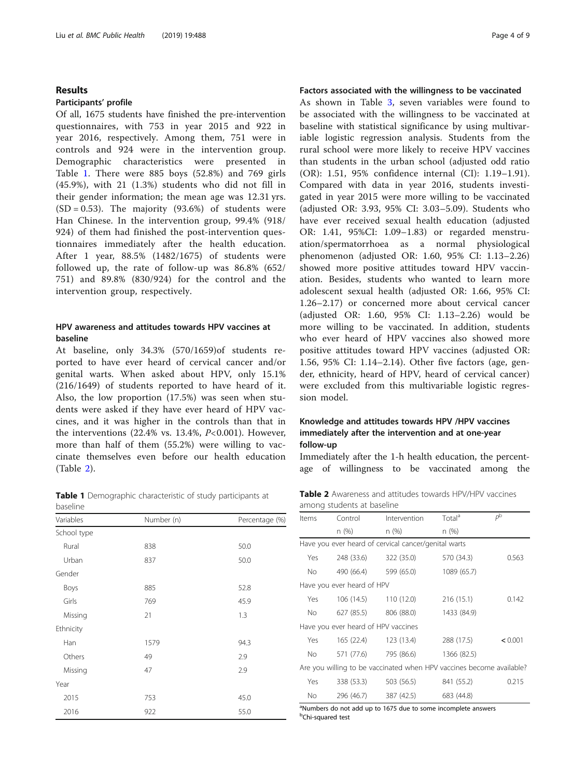#### Results

#### Participants' profile

Of all, 1675 students have finished the pre-intervention questionnaires, with 753 in year 2015 and 922 in year 2016, respectively. Among them, 751 were in controls and 924 were in the intervention group. Demographic characteristics were presented in Table 1. There were 885 boys (52.8%) and 769 girls (45.9%), with 21 (1.3%) students who did not fill in their gender information; the mean age was 12.31 yrs.  $(SD = 0.53)$ . The majority  $(93.6%)$  of students were Han Chinese. In the intervention group, 99.4% (918/ 924) of them had finished the post-intervention questionnaires immediately after the health education. After 1 year, 88.5% (1482/1675) of students were followed up, the rate of follow-up was 86.8% (652/ 751) and 89.8% (830/924) for the control and the intervention group, respectively.

### HPV awareness and attitudes towards HPV vaccines at baseline

At baseline, only 34.3% (570/1659)of students reported to have ever heard of cervical cancer and/or genital warts. When asked about HPV, only 15.1% (216/1649) of students reported to have heard of it. Also, the low proportion (17.5%) was seen when students were asked if they have ever heard of HPV vaccines, and it was higher in the controls than that in the interventions  $(22.4\% \text{ vs. } 13.4\%, P<0.001)$ . However, more than half of them (55.2%) were willing to vaccinate themselves even before our health education (Table 2).

Table 1 Demographic characteristic of study participants at baseline

| ~~~~        |            |                |
|-------------|------------|----------------|
| Variables   | Number (n) | Percentage (%) |
| School type |            |                |
| Rural       | 838        | 50.0           |
| Urban       | 837        | 50.0           |
| Gender      |            |                |
| Boys        | 885        | 52.8           |
| Girls       | 769        | 45.9           |
| Missing     | 21         | 1.3            |
| Ethnicity   |            |                |
| Han         | 1579       | 94.3           |
| Others      | 49         | 2.9            |
| Missing     | 47         | 2.9            |
| Year        |            |                |
| 2015        | 753        | 45.0           |
| 2016        | 922        | 55.0           |

#### Factors associated with the willingness to be vaccinated

As shown in Table [3,](#page-4-0) seven variables were found to be associated with the willingness to be vaccinated at baseline with statistical significance by using multivariable logistic regression analysis. Students from the rural school were more likely to receive HPV vaccines than students in the urban school (adjusted odd ratio (OR): 1.51, 95% confidence internal (CI): 1.19–1.91). Compared with data in year 2016, students investigated in year 2015 were more willing to be vaccinated (adjusted OR: 3.93, 95% CI: 3.03–5.09). Students who have ever received sexual health education (adjusted OR: 1.41, 95%CI: 1.09–1.83) or regarded menstruation/spermatorrhoea as a normal physiological phenomenon (adjusted OR: 1.60, 95% CI: 1.13–2.26) showed more positive attitudes toward HPV vaccination. Besides, students who wanted to learn more adolescent sexual health (adjusted OR: 1.66, 95% CI: 1.26–2.17) or concerned more about cervical cancer (adjusted OR: 1.60, 95% CI: 1.13–2.26) would be more willing to be vaccinated. In addition, students who ever heard of HPV vaccines also showed more positive attitudes toward HPV vaccines (adjusted OR: 1.56, 95% CI: 1.14–2.14). Other five factors (age, gender, ethnicity, heard of HPV, heard of cervical cancer) were excluded from this multivariable logistic regression model.

### Knowledge and attitudes towards HPV /HPV vaccines immediately after the intervention and at one-year follow-up

Immediately after the 1-h health education, the percentage of willingness to be vaccinated among the

| <b>Table 2</b> Awareness and attitudes towards HPV/HPV vaccines |  |  |  |
|-----------------------------------------------------------------|--|--|--|
| among students at baseline                                      |  |  |  |

| Items                                                                | Control                             | Intervention                                         | Total <sup>a</sup> | $P^{\rm b}$ |
|----------------------------------------------------------------------|-------------------------------------|------------------------------------------------------|--------------------|-------------|
|                                                                      | n (%)                               | n (%)                                                | n (%)              |             |
|                                                                      |                                     | Have you ever heard of cervical cancer/genital warts |                    |             |
| Yes                                                                  | 248 (33.6)                          | 322 (35.0)                                           | 570 (34.3)         | 0.563       |
| No.                                                                  | 490 (66.4)                          | 599 (65.0)                                           | 1089 (65.7)        |             |
|                                                                      | Have you ever heard of HPV          |                                                      |                    |             |
| Yes.                                                                 | 106 (14.5)                          | 110 (12.0)                                           | 216 (15.1)         | 0.142       |
| No.                                                                  | 627 (85.5)                          | 806 (88.0)                                           | 1433 (84.9)        |             |
|                                                                      | Have you ever heard of HPV vaccines |                                                      |                    |             |
| Yes.                                                                 | 165 (22.4)                          | 123 (13.4)                                           | 288 (17.5)         | < 0.001     |
| No.                                                                  | 571 (77.6)                          | 795 (86.6)                                           | 1366 (82.5)        |             |
| Are you willing to be vaccinated when HPV vaccines become available? |                                     |                                                      |                    |             |
| Yes                                                                  | 338 (53.3)                          | 503 (56.5)                                           | 841 (55.2)         | 0.215       |
| No.                                                                  | 296 (46.7)                          | 387 (42.5)                                           | 683 (44.8)         |             |

<sup>a</sup>Numbers do not add up to 1675 due to some incomplete answers **b**Chi-squared test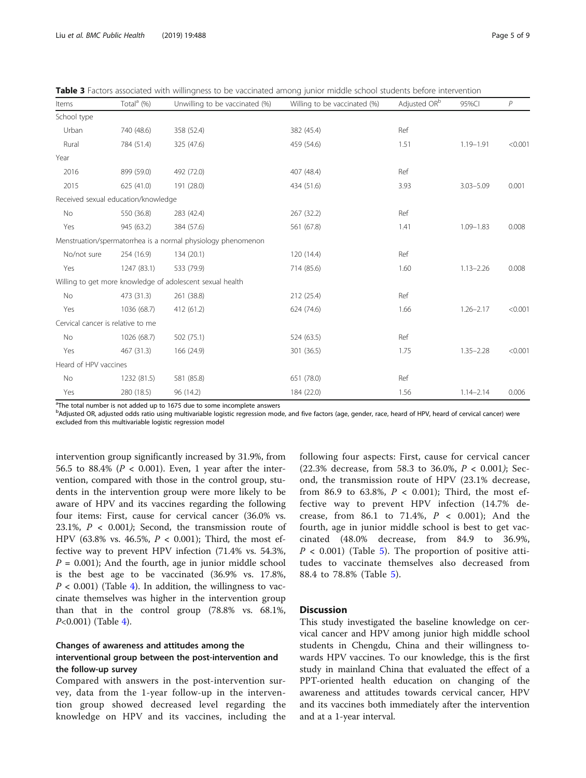<span id="page-4-0"></span>Table 3 Factors associated with willingness to be vaccinated among junior middle school students before intervention

| Items                               | Total <sup>a</sup> (%) | Unwilling to be vaccinated (%)                               | Willing to be vaccinated (%) | Adjusted OR <sup>b</sup> | 95%Cl         | $\overline{P}$ |
|-------------------------------------|------------------------|--------------------------------------------------------------|------------------------------|--------------------------|---------------|----------------|
| School type                         |                        |                                                              |                              |                          |               |                |
| Urban                               | 740 (48.6)             | 358 (52.4)                                                   | 382 (45.4)                   | Ref                      |               |                |
| Rural                               | 784 (51.4)             | 325 (47.6)                                                   | 459 (54.6)                   | 1.51                     | 1.19-1.91     | < 0.001        |
| Year                                |                        |                                                              |                              |                          |               |                |
| 2016                                | 899 (59.0)             | 492 (72.0)                                                   | 407 (48.4)                   | Ref                      |               |                |
| 2015                                | 625 (41.0)             | 191 (28.0)                                                   | 434 (51.6)                   | 3.93                     | $3.03 - 5.09$ | 0.001          |
| Received sexual education/knowledge |                        |                                                              |                              |                          |               |                |
| No                                  | 550 (36.8)             | 283 (42.4)                                                   | 267 (32.2)                   | Ref                      |               |                |
| Yes                                 | 945 (63.2)             | 384 (57.6)                                                   | 561 (67.8)                   | 1.41                     | $1.09 - 1.83$ | 0.008          |
|                                     |                        | Menstruation/spermatorrhea is a normal physiology phenomenon |                              |                          |               |                |
| No/not sure                         | 254 (16.9)             | 134 (20.1)                                                   | 120 (14.4)                   | Ref                      |               |                |
| Yes                                 | 1247 (83.1)            | 533 (79.9)                                                   | 714 (85.6)                   | 1.60                     | $1.13 - 2.26$ | 0.008          |
|                                     |                        | Willing to get more knowledge of adolescent sexual health    |                              |                          |               |                |
| No                                  | 473 (31.3)             | 261 (38.8)                                                   | 212 (25.4)                   | Ref                      |               |                |
| Yes                                 | 1036 (68.7)            | 412 (61.2)                                                   | 624 (74.6)                   | 1.66                     | $1.26 - 2.17$ | < 0.001        |
| Cervical cancer is relative to me   |                        |                                                              |                              |                          |               |                |
| No                                  | 1026 (68.7)            | 502 (75.1)                                                   | 524 (63.5)                   | Ref                      |               |                |
| Yes                                 | 467 (31.3)             | 166 (24.9)                                                   | 301 (36.5)                   | 1.75                     | $1.35 - 2.28$ | < 0.001        |
| Heard of HPV vaccines               |                        |                                                              |                              |                          |               |                |
| No                                  | 1232 (81.5)            | 581 (85.8)                                                   | 651 (78.0)                   | Ref                      |               |                |
| Yes                                 | 280 (18.5)             | 96 (14.2)                                                    | 184 (22.0)                   | 1.56                     | $1.14 - 2.14$ | 0.006          |

<sup>a</sup>The total number is not added up to 1675 due to some incomplete answers

b<br>Adjusted OR, adjusted odds ratio using multivariable logistic regression mode, and five factors (age, gender, race, heard of HPV, heard of cervical cancer) were excluded from this multivariable logistic regression model

intervention group significantly increased by 31.9%, from 56.5 to 88.4% ( $P < 0.001$ ). Even, 1 year after the intervention, compared with those in the control group, students in the intervention group were more likely to be aware of HPV and its vaccines regarding the following four items: First, cause for cervical cancer (36.0% vs. 23.1%,  $P < 0.001$ ); Second, the transmission route of HPV (63.8% vs. 46.5%,  $P < 0.001$ ); Third, the most effective way to prevent HPV infection (71.4% vs. 54.3%,  $P = 0.001$ ); And the fourth, age in junior middle school is the best age to be vaccinated (36.9% vs. 17.8%,  $P < 0.001$ ) (Table [4](#page-5-0)). In addition, the willingness to vaccinate themselves was higher in the intervention group than that in the control group (78.8% vs. 68.1%, P<0.001) (Table [4\)](#page-5-0).

### Changes of awareness and attitudes among the interventional group between the post-intervention and the follow-up survey

Compared with answers in the post-intervention survey, data from the 1-year follow-up in the intervention group showed decreased level regarding the knowledge on HPV and its vaccines, including the following four aspects: First, cause for cervical cancer (22.3% decrease, from 58.3 to 36.0%,  $P < 0.001$ ); Second, the transmission route of HPV (23.1% decrease, from 86.9 to 63.8%,  $P < 0.001$ ); Third, the most effective way to prevent HPV infection (14.7% decrease, from 86.1 to 71.4%,  $P < 0.001$ ); And the fourth, age in junior middle school is best to get vaccinated (48.0% decrease, from 84.9 to 36.9%,  $P < 0.001$ ) (Table [5\)](#page-6-0). The proportion of positive attitudes to vaccinate themselves also decreased from 88.4 to 78.8% (Table [5](#page-6-0)).

#### **Discussion**

This study investigated the baseline knowledge on cervical cancer and HPV among junior high middle school students in Chengdu, China and their willingness towards HPV vaccines. To our knowledge, this is the first study in mainland China that evaluated the effect of a PPT-oriented health education on changing of the awareness and attitudes towards cervical cancer, HPV and its vaccines both immediately after the intervention and at a 1-year interval.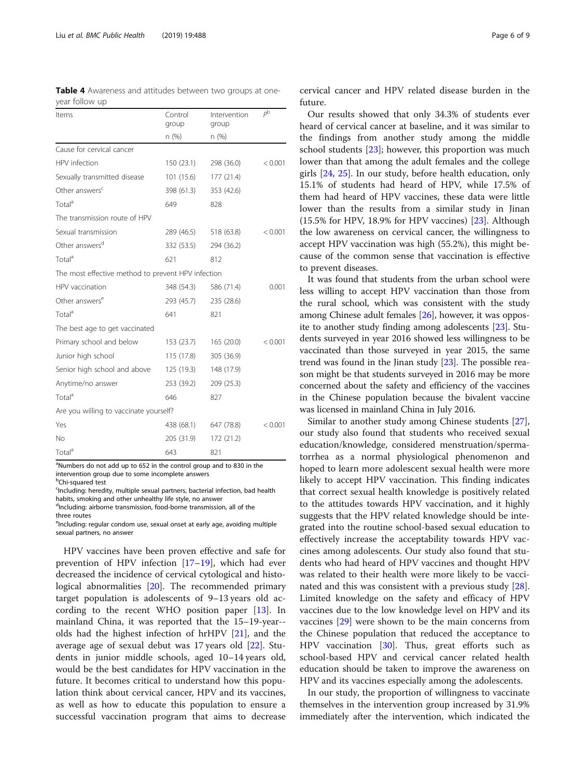<span id="page-5-0"></span>

|                | Table 4 Awareness and attitudes between two groups at one- |  |  |  |  |
|----------------|------------------------------------------------------------|--|--|--|--|
| year follow up |                                                            |  |  |  |  |

| Items                                              | Control<br>group | Intervention<br>group | p <sup>b</sup> |
|----------------------------------------------------|------------------|-----------------------|----------------|
|                                                    | n(%)             | n (%)                 |                |
| Cause for cervical cancer                          |                  |                       |                |
| HPV infection                                      | 150(23.1)        | 298 (36.0)            | < 0.001        |
| Sexually transmitted disease                       | 101 (15.6)       | 177 (21.4)            |                |
| Other answers <sup>c</sup>                         | 398 (61.3)       | 353 (42.6)            |                |
| Total <sup>a</sup>                                 | 649              | 828                   |                |
| The transmission route of HPV                      |                  |                       |                |
| Sexual transmission                                | 289 (46.5)       | 518 (63.8)            | < 0.001        |
| Other answers <sup>d</sup>                         | 332 (53.5)       | 294 (36.2)            |                |
| Total <sup>a</sup>                                 | 621              | 812                   |                |
| The most effective method to prevent HPV infection |                  |                       |                |
| HPV vaccination                                    | 348 (54.3)       | 586 (71.4)            | 0.001          |
| Other answers <sup>e</sup>                         | 293 (45.7)       | 235 (28.6)            |                |
| Total <sup>a</sup>                                 | 641              | 821                   |                |
| The best age to get vaccinated                     |                  |                       |                |
| Primary school and below                           | 153 (23.7)       | 165(20.0)             | < 0.001        |
| Junior high school                                 | 115 (17.8)       | 305 (36.9)            |                |
| Senior high school and above                       | 125 (19.3)       | 148 (17.9)            |                |
| Anytime/no answer                                  | 253 (39.2)       | 209 (25.3)            |                |
| Total <sup>a</sup>                                 | 646              | 827                   |                |
| Are you willing to vaccinate yourself?             |                  |                       |                |
| Yes                                                | 438 (68.1)       | 647 (78.8)            | < 0.001        |
| No                                                 | 205 (31.9)       | 172 (21.2)            |                |
| Total <sup>a</sup>                                 | 643              | 821                   |                |

<sup>a</sup>Numbers do not add up to 652 in the control group and to 830 in the intervention group due to some incomplete answers

<sup>b</sup>Chi-squared test

three routes

<sup>c</sup>Including: heredity, multiple sexual partners, bacterial infection, bad health habits, smoking and other unhealthy life style, no answer <sup>d</sup>Including: airborne transmission, food-borne transmission, all of the

<sup>e</sup>Including: regular condom use, sexual onset at early age, avoiding multiple sexual partners, no answer

HPV vaccines have been proven effective and safe for prevention of HPV infection [[17](#page-8-0)–[19\]](#page-8-0), which had ever decreased the incidence of cervical cytological and histological abnormalities [\[20](#page-8-0)]. The recommended primary target population is adolescents of 9–13 years old according to the recent WHO position paper [[13\]](#page-8-0). In mainland China, it was reported that the 15–19-year- olds had the highest infection of hrHPV [\[21](#page-8-0)], and the average age of sexual debut was 17 years old [\[22\]](#page-8-0). Students in junior middle schools, aged 10–14 years old, would be the best candidates for HPV vaccination in the future. It becomes critical to understand how this population think about cervical cancer, HPV and its vaccines, as well as how to educate this population to ensure a successful vaccination program that aims to decrease

cervical cancer and HPV related disease burden in the future.

Our results showed that only 34.3% of students ever heard of cervical cancer at baseline, and it was similar to the findings from another study among the middle school students [[23\]](#page-8-0); however, this proportion was much lower than that among the adult females and the college girls [\[24](#page-8-0), [25](#page-8-0)]. In our study, before health education, only 15.1% of students had heard of HPV, while 17.5% of them had heard of HPV vaccines, these data were little lower than the results from a similar study in Jinan  $(15.5\%$  for HPV, 18.9% for HPV vaccines)  $[23]$  $[23]$ . Although the low awareness on cervical cancer, the willingness to accept HPV vaccination was high (55.2%), this might because of the common sense that vaccination is effective to prevent diseases.

It was found that students from the urban school were less willing to accept HPV vaccination than those from the rural school, which was consistent with the study among Chinese adult females [[26\]](#page-8-0), however, it was opposite to another study finding among adolescents [[23](#page-8-0)]. Students surveyed in year 2016 showed less willingness to be vaccinated than those surveyed in year 2015, the same trend was found in the Jinan study [\[23\]](#page-8-0). The possible reason might be that students surveyed in 2016 may be more concerned about the safety and efficiency of the vaccines in the Chinese population because the bivalent vaccine was licensed in mainland China in July 2016.

Similar to another study among Chinese students [\[27](#page-8-0)], our study also found that students who received sexual education/knowledge, considered menstruation/spermatorrhea as a normal physiological phenomenon and hoped to learn more adolescent sexual health were more likely to accept HPV vaccination. This finding indicates that correct sexual health knowledge is positively related to the attitudes towards HPV vaccination, and it highly suggests that the HPV related knowledge should be integrated into the routine school-based sexual education to effectively increase the acceptability towards HPV vaccines among adolescents. Our study also found that students who had heard of HPV vaccines and thought HPV was related to their health were more likely to be vaccinated and this was consistent with a previous study [\[28](#page-8-0)]. Limited knowledge on the safety and efficacy of HPV vaccines due to the low knowledge level on HPV and its vaccines [\[29\]](#page-8-0) were shown to be the main concerns from the Chinese population that reduced the acceptance to HPV vaccination [[30\]](#page-8-0). Thus, great efforts such as school-based HPV and cervical cancer related health education should be taken to improve the awareness on HPV and its vaccines especially among the adolescents.

In our study, the proportion of willingness to vaccinate themselves in the intervention group increased by 31.9% immediately after the intervention, which indicated the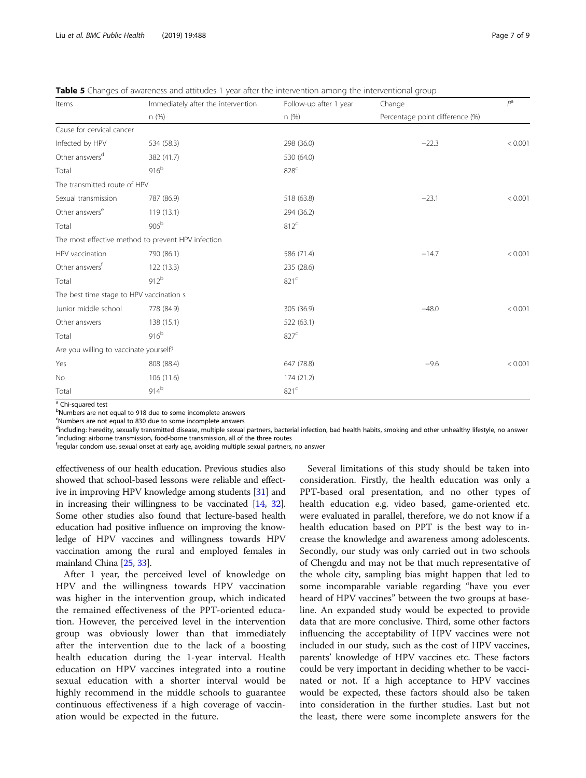<span id="page-6-0"></span>Table 5 Changes of awareness and attitudes 1 year after the intervention among the interventional group

| Items                                    | Immediately after the intervention                 | Follow-up after 1 year | Change                          | $P^{\rm a}$ |  |
|------------------------------------------|----------------------------------------------------|------------------------|---------------------------------|-------------|--|
|                                          | n(%)                                               | n(%)                   | Percentage point difference (%) |             |  |
| Cause for cervical cancer                |                                                    |                        |                                 |             |  |
| Infected by HPV                          | 534 (58.3)                                         | 298 (36.0)             | $-22.3$                         | < 0.001     |  |
| Other answers <sup>d</sup>               | 382 (41.7)                                         | 530 (64.0)             |                                 |             |  |
| Total                                    | 916 <sup>b</sup>                                   | 828 <sup>c</sup>       |                                 |             |  |
| The transmitted route of HPV             |                                                    |                        |                                 |             |  |
| Sexual transmission                      | 787 (86.9)                                         | 518 (63.8)             | $-23.1$                         | < 0.001     |  |
| Other answers <sup>e</sup>               | 119(13.1)                                          | 294 (36.2)             |                                 |             |  |
| Total                                    | 906 <sup>b</sup>                                   | 812 <sup>c</sup>       |                                 |             |  |
|                                          | The most effective method to prevent HPV infection |                        |                                 |             |  |
| HPV vaccination                          | 790 (86.1)                                         | 586 (71.4)             | $-14.7$                         | < 0.001     |  |
| Other answers <sup>f</sup>               | 122(13.3)                                          | 235 (28.6)             |                                 |             |  |
| Total                                    | 912 <sup>b</sup>                                   | 821 <sup>c</sup>       |                                 |             |  |
| The best time stage to HPV vaccination s |                                                    |                        |                                 |             |  |
| Junior middle school                     | 778 (84.9)                                         | 305 (36.9)             | $-48.0$                         | < 0.001     |  |
| Other answers                            | 138 (15.1)                                         | 522 (63.1)             |                                 |             |  |
| Total                                    | 916 <sup>b</sup>                                   | 827 <sup>c</sup>       |                                 |             |  |
| Are you willing to vaccinate yourself?   |                                                    |                        |                                 |             |  |
| Yes                                      | 808 (88.4)                                         | 647 (78.8)             | $-9.6$                          | < 0.001     |  |
| No                                       | 106 (11.6)                                         | 174 (21.2)             |                                 |             |  |
| Total                                    | 914 <sup>b</sup>                                   | 821 <sup>c</sup>       |                                 |             |  |

<sup>a</sup> Chi-squared test

<sup>b</sup>Numbers are not equal to 918 due to some incomplete answers

<sup>c</sup>Numbers are not equal to 830 due to some incomplete answers

dincluding: heredity, sexually transmitted disease, multiple sexual partners, bacterial infection, bad health habits, smoking and other unhealthy lifestyle, no answer<br>Eincluding airborne transmission, food berne transmissi eincluding: airborne transmission, food-borne transmission, all of the three routes

fregular condom use, sexual onset at early age, avoiding multiple sexual partners, no answer

effectiveness of our health education. Previous studies also showed that school-based lessons were reliable and effective in improving HPV knowledge among students [\[31\]](#page-8-0) and in increasing their willingness to be vaccinated [[14](#page-8-0), [32](#page-8-0)]. Some other studies also found that lecture-based health education had positive influence on improving the knowledge of HPV vaccines and willingness towards HPV vaccination among the rural and employed females in mainland China [[25](#page-8-0), [33](#page-8-0)].

After 1 year, the perceived level of knowledge on HPV and the willingness towards HPV vaccination was higher in the intervention group, which indicated the remained effectiveness of the PPT-oriented education. However, the perceived level in the intervention group was obviously lower than that immediately after the intervention due to the lack of a boosting health education during the 1-year interval. Health education on HPV vaccines integrated into a routine sexual education with a shorter interval would be highly recommend in the middle schools to guarantee continuous effectiveness if a high coverage of vaccination would be expected in the future.

Several limitations of this study should be taken into consideration. Firstly, the health education was only a PPT-based oral presentation, and no other types of health education e.g. video based, game-oriented etc. were evaluated in parallel, therefore, we do not know if a health education based on PPT is the best way to increase the knowledge and awareness among adolescents. Secondly, our study was only carried out in two schools of Chengdu and may not be that much representative of the whole city, sampling bias might happen that led to some incomparable variable regarding "have you ever heard of HPV vaccines" between the two groups at baseline. An expanded study would be expected to provide data that are more conclusive. Third, some other factors influencing the acceptability of HPV vaccines were not included in our study, such as the cost of HPV vaccines, parents' knowledge of HPV vaccines etc. These factors could be very important in deciding whether to be vaccinated or not. If a high acceptance to HPV vaccines would be expected, these factors should also be taken into consideration in the further studies. Last but not the least, there were some incomplete answers for the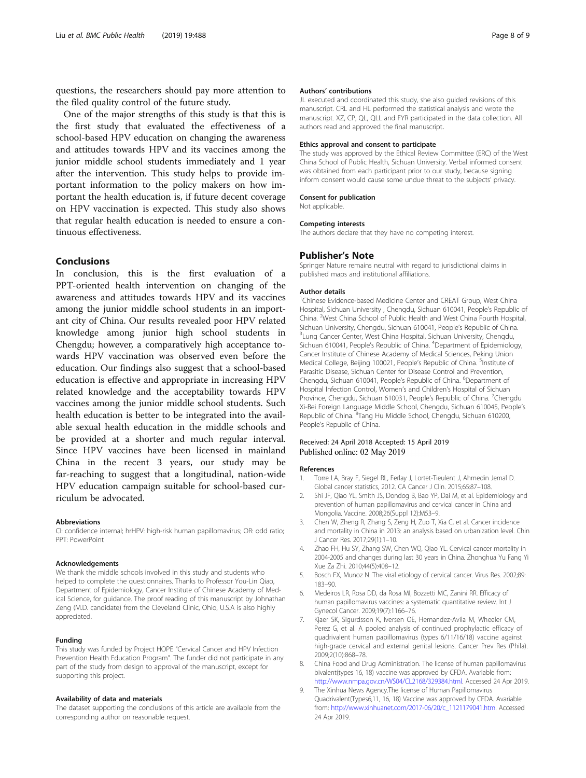<span id="page-7-0"></span>questions, the researchers should pay more attention to the filed quality control of the future study.

One of the major strengths of this study is that this is the first study that evaluated the effectiveness of a school-based HPV education on changing the awareness and attitudes towards HPV and its vaccines among the junior middle school students immediately and 1 year after the intervention. This study helps to provide important information to the policy makers on how important the health education is, if future decent coverage on HPV vaccination is expected. This study also shows that regular health education is needed to ensure a continuous effectiveness.

#### Conclusions

In conclusion, this is the first evaluation of a PPT-oriented health intervention on changing of the awareness and attitudes towards HPV and its vaccines among the junior middle school students in an important city of China. Our results revealed poor HPV related knowledge among junior high school students in Chengdu; however, a comparatively high acceptance towards HPV vaccination was observed even before the education. Our findings also suggest that a school-based education is effective and appropriate in increasing HPV related knowledge and the acceptability towards HPV vaccines among the junior middle school students. Such health education is better to be integrated into the available sexual health education in the middle schools and be provided at a shorter and much regular interval. Since HPV vaccines have been licensed in mainland China in the recent 3 years, our study may be far-reaching to suggest that a longitudinal, nation-wide HPV education campaign suitable for school-based curriculum be advocated.

#### Abbreviations

CI: confidence internal; hrHPV: high-risk human papillomavirus; OR: odd ratio; PPT: PowerPoint

#### Acknowledgements

We thank the middle schools involved in this study and students who helped to complete the questionnaires. Thanks to Professor You-Lin Qiao, Department of Epidemiology, Cancer Institute of Chinese Academy of Medical Science, for guidance. The proof reading of this manuscript by Johnathan Zeng (M.D. candidate) from the Cleveland Clinic, Ohio, U.S.A is also highly appreciated.

#### Funding

This study was funded by Project HOPE "Cervical Cancer and HPV Infection Prevention Health Education Program". The funder did not participate in any part of the study from design to approval of the manuscript, except for supporting this project.

#### Availability of data and materials

The dataset supporting the conclusions of this article are available from the corresponding author on reasonable request.

#### Authors' contributions

JL executed and coordinated this study, she also guided revisions of this manuscript. CRL and HL performed the statistical analysis and wrote the manuscript. XZ, CP, QL, QLL and FYR participated in the data collection. All authors read and approved the final manuscript.

#### Ethics approval and consent to participate

The study was approved by the Ethical Review Committee (ERC) of the West China School of Public Health, Sichuan University. Verbal informed consent was obtained from each participant prior to our study, because signing inform consent would cause some undue threat to the subjects' privacy.

#### Consent for publication Not applicable.

# Competing interests

The authors declare that they have no competing interest.

#### Publisher's Note

Springer Nature remains neutral with regard to jurisdictional claims in published maps and institutional affiliations.

#### Author details

<sup>1</sup>Chinese Evidence-based Medicine Center and CREAT Group, West China Hospital, Sichuan University , Chengdu, Sichuan 610041, People's Republic of China. <sup>2</sup> West China School of Public Health and West China Fourth Hospital, Sichuan University, Chengdu, Sichuan 610041, People's Republic of China. <sup>3</sup> Lung Cancer Center, West China Hospital, Sichuan University, Chengdu, Sichuan 610041, People's Republic of China. <sup>4</sup>Department of Epidemiology, Cancer Institute of Chinese Academy of Medical Sciences, Peking Union Medical College, Beijing 100021, People's Republic of China. <sup>5</sup>Institute of Parasitic Disease, Sichuan Center for Disease Control and Prevention, Chengdu, Sichuan 610041, People's Republic of China. <sup>6</sup>Department of Hospital Infection Control, Women's and Children's Hospital of Sichuan Province, Chengdu, Sichuan 610031, People's Republic of China. <sup>7</sup>Chengdu Xi-Bei Foreign Language Middle School, Chengdu, Sichuan 610045, People's Republic of China. <sup>8</sup>Tang Hu Middle School, Chengdu, Sichuan 610200 People's Republic of China.

#### Received: 24 April 2018 Accepted: 15 April 2019 Published online: 02 May 2019

#### References

- 1. Torre LA, Bray F, Siegel RL, Ferlay J, Lortet-Tieulent J, Ahmedin Jemal D. Global cancer statistics, 2012. CA Cancer J Clin. 2015;65:87–108.
- 2. Shi JF, Qiao YL, Smith JS, Dondog B, Bao YP, Dai M, et al. Epidemiology and prevention of human papillomavirus and cervical cancer in China and Mongolia. Vaccine. 2008;26(Suppl 12):M53–9.
- 3. Chen W, Zheng R, Zhang S, Zeng H, Zuo T, Xia C, et al. Cancer incidence and mortality in China in 2013: an analysis based on urbanization level. Chin J Cancer Res. 2017;29(1):1–10.
- 4. Zhao FH, Hu SY, Zhang SW, Chen WQ, Qiao YL. Cervical cancer mortality in 2004-2005 and changes during last 30 years in China. Zhonghua Yu Fang Yi Xue Za Zhi. 2010;44(5):408–12.
- 5. Bosch FX, Munoz N. The viral etiology of cervical cancer. Virus Res. 2002;89: 183–90.
- 6. Medeiros LR, Rosa DD, da Rosa MI, Bozzetti MC, Zanini RR. Efficacy of human papillomavirus vaccines: a systematic quantitative review. Int J Gynecol Cancer. 2009;19(7):1166–76.
- 7. Kjaer SK, Sigurdsson K, Iversen OE, Hernandez-Avila M, Wheeler CM, Perez G, et al. A pooled analysis of continued prophylactic efficacy of quadrivalent human papillomavirus (types 6/11/16/18) vaccine against high-grade cervical and external genital lesions. Cancer Prev Res (Phila). 2009;2(10):868–78.
- 8. China Food and Drug Administration. The license of human papillomavirus bivalent(types 16, 18) vaccine was approved by CFDA. Avariable from: [http://www.nmpa.gov.cn/WS04/CL2168/329384.html.](http://www.nmpa.gov.cn/WS04/CL2168/329384.html) Accessed 24 Apr 2019.
- 9. The Xinhua News Agency.The license of Human Papillomavirus Quadrivalent(Types6,11, 16, 18) Vaccine was approved by CFDA. Avariable from: [http://www.xinhuanet.com/2017-06/20/c\\_1121179041.htm.](http://www.xinhuanet.com/2017-06/20/c_1121179041.htm) Accessed 24 Apr 2019.